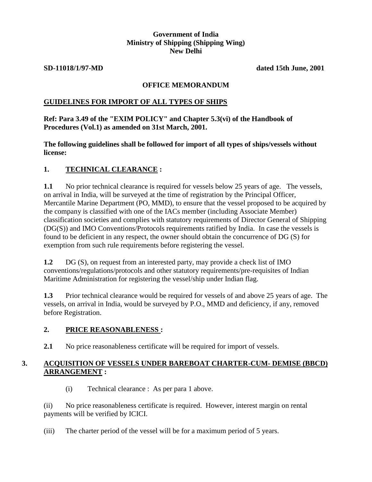## **Government of India Ministry of Shipping (Shipping Wing) New Delhi**

**SD-11018/1/97-MD dated 15th June, 2001**

## **OFFICE MEMORANDUM**

## **GUIDELINES FOR IMPORT OF ALL TYPES OF SHIPS**

## **Ref: Para 3.49 of the "EXIM POLICY" and Chapter 5.3(vi) of the Handbook of Procedures (Vol.1) as amended on 31st March, 2001.**

**The following guidelines shall be followed for import of all types of ships/vessels without license:**

# **1. TECHNICAL CLEARANCE :**

**1.1** No prior technical clearance is required for vessels below 25 years of age. The vessels, on arrival in India, will be surveyed at the time of registration by the Principal Officer, Mercantile Marine Department (PO, MMD), to ensure that the vessel proposed to be acquired by the company is classified with one of the IACs member (including Associate Member) classification societies and complies with statutory requirements of Director General of Shipping (DG(S)) and IMO Conventions/Protocols requirements ratified by India. In case the vessels is found to be deficient in any respect, the owner should obtain the concurrence of DG (S) for exemption from such rule requirements before registering the vessel.

**1.2** DG (S), on request from an interested party, may provide a check list of IMO conventions/regulations/protocols and other statutory requirements/pre-requisites of Indian Maritime Administration for registering the vessel/ship under Indian flag.

**1.3** Prior technical clearance would be required for vessels of and above 25 years of age. The vessels, on arrival in India, would be surveyed by P.O., MMD and deficiency, if any, removed before Registration.

#### **2. PRICE REASONABLENESS :**

**2.1** No price reasonableness certificate will be required for import of vessels.

# **3. ACQUISITION OF VESSELS UNDER BAREBOAT CHARTER-CUM- DEMISE (BBCD) ARRANGEMENT :**

(i) Technical clearance : As per para 1 above.

(ii) No price reasonableness certificate is required. However, interest margin on rental payments will be verified by ICICI.

(iii) The charter period of the vessel will be for a maximum period of 5 years.